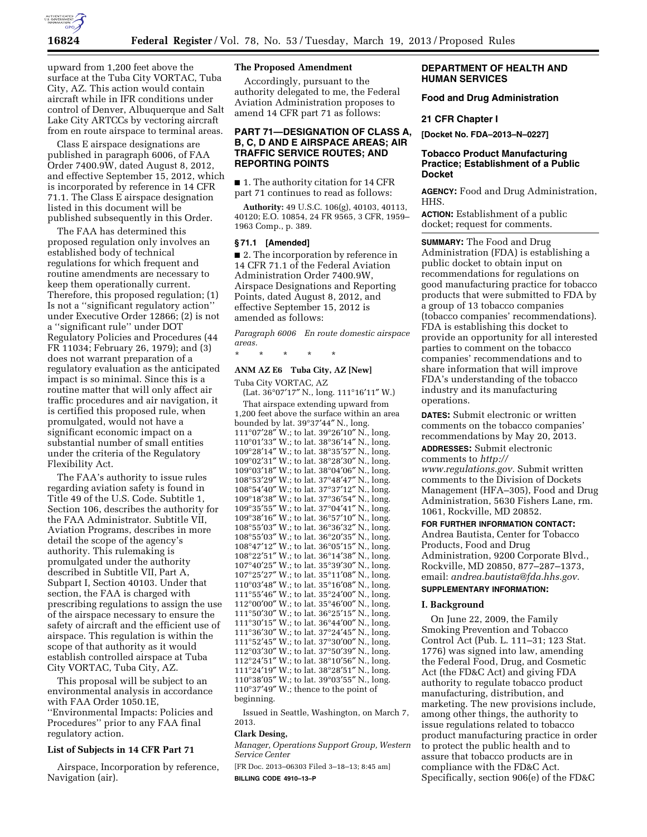

upward from 1,200 feet above the surface at the Tuba City VORTAC, Tuba City, AZ. This action would contain aircraft while in IFR conditions under control of Denver, Albuquerque and Salt Lake City ARTCCs by vectoring aircraft from en route airspace to terminal areas.

Class E airspace designations are published in paragraph 6006, of FAA Order 7400.9W, dated August 8, 2012, and effective September 15, 2012, which is incorporated by reference in 14 CFR 71.1. The Class E airspace designation listed in this document will be published subsequently in this Order.

The FAA has determined this proposed regulation only involves an established body of technical regulations for which frequent and routine amendments are necessary to keep them operationally current. Therefore, this proposed regulation; (1) Is not a ''significant regulatory action'' under Executive Order 12866; (2) is not a ''significant rule'' under DOT Regulatory Policies and Procedures (44 FR 11034; February 26, 1979); and (3) does not warrant preparation of a regulatory evaluation as the anticipated impact is so minimal. Since this is a routine matter that will only affect air traffic procedures and air navigation, it is certified this proposed rule, when promulgated, would not have a significant economic impact on a substantial number of small entities under the criteria of the Regulatory Flexibility Act.

The FAA's authority to issue rules regarding aviation safety is found in Title 49 of the U.S. Code. Subtitle 1, Section 106, describes the authority for the FAA Administrator. Subtitle VII, Aviation Programs, describes in more detail the scope of the agency's authority. This rulemaking is promulgated under the authority described in Subtitle VII, Part A, Subpart I, Section 40103. Under that section, the FAA is charged with prescribing regulations to assign the use of the airspace necessary to ensure the safety of aircraft and the efficient use of airspace. This regulation is within the scope of that authority as it would establish controlled airspace at Tuba City VORTAC, Tuba City, AZ.

This proposal will be subject to an environmental analysis in accordance with FAA Order 1050.1E, ''Environmental Impacts: Policies and Procedures'' prior to any FAA final regulatory action.

### **List of Subjects in 14 CFR Part 71**

Airspace, Incorporation by reference, Navigation (air).

# **The Proposed Amendment**

Accordingly, pursuant to the authority delegated to me, the Federal Aviation Administration proposes to amend 14 CFR part 71 as follows:

## **PART 71—DESIGNATION OF CLASS A, B, C, D AND E AIRSPACE AREAS; AIR TRAFFIC SERVICE ROUTES; AND REPORTING POINTS**

■ 1. The authority citation for 14 CFR part 71 continues to read as follows:

**Authority:** 49 U.S.C. 106(g), 40103, 40113, 40120; E.O. 10854, 24 FR 9565, 3 CFR, 1959– 1963 Comp., p. 389.

### **§ 71.1 [Amended]**

■ 2. The incorporation by reference in 14 CFR 71.1 of the Federal Aviation Administration Order 7400.9W, Airspace Designations and Reporting Points, dated August 8, 2012, and effective September 15, 2012 is amended as follows:

*Paragraph 6006 En route domestic airspace areas.* 

\* \* \* \* \*

# **ANM AZ E6 Tuba City, AZ [New]**

Tuba City VORTAC, AZ (Lat. 36°07′17″ N., long. 111°16′11″ W.) That airspace extending upward from 1,200 feet above the surface within an area bounded by lat. 39°37′44″ N., long. °07′28″ W.; to lat. 39°26′10″ N., long. °01′33″ W.; to lat. 38°36′14″ N., long. °28′14″ W.; to lat. 38°35′57″ N., long. °02′31″ W.; to lat. 38°28′30″ N., long. °03′18″ W.; to lat. 38°04′06″ N., long. °53′29″ W.; to lat. 37°48′47″ N., long. °54′40″ W.; to lat. 37°37′12″ N., long. °18′38″ W.; to lat. 37°36′54″ N., long. °35′55″ W.; to lat. 37°04′41″ N., long. °38′16″ W.; to lat. 36°57′10″ N., long. °55′03″ W.; to lat. 36°36′32″ N., long. °55′03″ W.; to lat. 36°20′35″ N., long. °47′12″ W.; to lat. 36°05′15″ N., long.  $108^{\circ}22'51''$  W.; to lat.  $36^{\circ}14'38''$  N., long. °40′25″ W.; to lat. 35°39′30″ N., long. °25′27″ W.; to lat. 35°11′08″ N., long. °03′48″ W.; to lat. 35°16′08″ N., long. °55′46″ W.; to lat. 35°24′00″ N., long. °00′00″ W.; to lat. 35°46′00″ N., long. °50′30″ W.; to lat. 36°25′15″ N., long. °30′15″ W.; to lat. 36°44′00″ N., long. °36′30″ W.; to lat. 37°24′45″ N., long. °52′45″ W.; to lat. 37°30′00″ N., long. °03′30″ W.; to lat. 37°50′39″ N., long. °24′51″ W.; to lat. 38°10′56″ N., long. °24′19″ W.; to lat. 38°28′51″ N., long. °38′05″ W.; to lat. 39°03′55″ N., long. °37′49″ W.; thence to the point of beginning.

Issued in Seattle, Washington, on March 7, 2013.

### **Clark Desing,**

*Manager, Operations Support Group, Western Service Center* 

[FR Doc. 2013–06303 Filed 3–18–13; 8:45 am] **BILLING CODE 4910–13–P** 

# **DEPARTMENT OF HEALTH AND HUMAN SERVICES**

**Food and Drug Administration** 

#### **21 CFR Chapter I**

**[Docket No. FDA–2013–N–0227]** 

## **Tobacco Product Manufacturing Practice; Establishment of a Public Docket**

**AGENCY:** Food and Drug Administration, HHS.

**ACTION:** Establishment of a public docket; request for comments.

**SUMMARY:** The Food and Drug Administration (FDA) is establishing a public docket to obtain input on recommendations for regulations on good manufacturing practice for tobacco products that were submitted to FDA by a group of 13 tobacco companies (tobacco companies' recommendations). FDA is establishing this docket to provide an opportunity for all interested parties to comment on the tobacco companies' recommendations and to share information that will improve FDA's understanding of the tobacco industry and its manufacturing operations.

**DATES:** Submit electronic or written comments on the tobacco companies' recommendations by May 20, 2013.

**ADDRESSES:** Submit electronic

comments to *[http://](http://www.regulations.gov)* 

*[www.regulations.gov.](http://www.regulations.gov)* Submit written comments to the Division of Dockets Management (HFA–305), Food and Drug Administration, 5630 Fishers Lane, rm. 1061, Rockville, MD 20852.

**FOR FURTHER INFORMATION CONTACT:**  Andrea Bautista, Center for Tobacco Products, Food and Drug Administration, 9200 Corporate Blvd., Rockville, MD 20850, 877–287–1373, email: *[andrea.bautista@fda.hhs.gov.](mailto:andrea.bautista@fda.hhs.gov)* 

#### **SUPPLEMENTARY INFORMATION:**

### **I. Background**

On June 22, 2009, the Family Smoking Prevention and Tobacco Control Act (Pub. L. 111–31; 123 Stat. 1776) was signed into law, amending the Federal Food, Drug, and Cosmetic Act (the FD&C Act) and giving FDA authority to regulate tobacco product manufacturing, distribution, and marketing. The new provisions include, among other things, the authority to issue regulations related to tobacco product manufacturing practice in order to protect the public health and to assure that tobacco products are in compliance with the FD&C Act. Specifically, section 906(e) of the FD&C